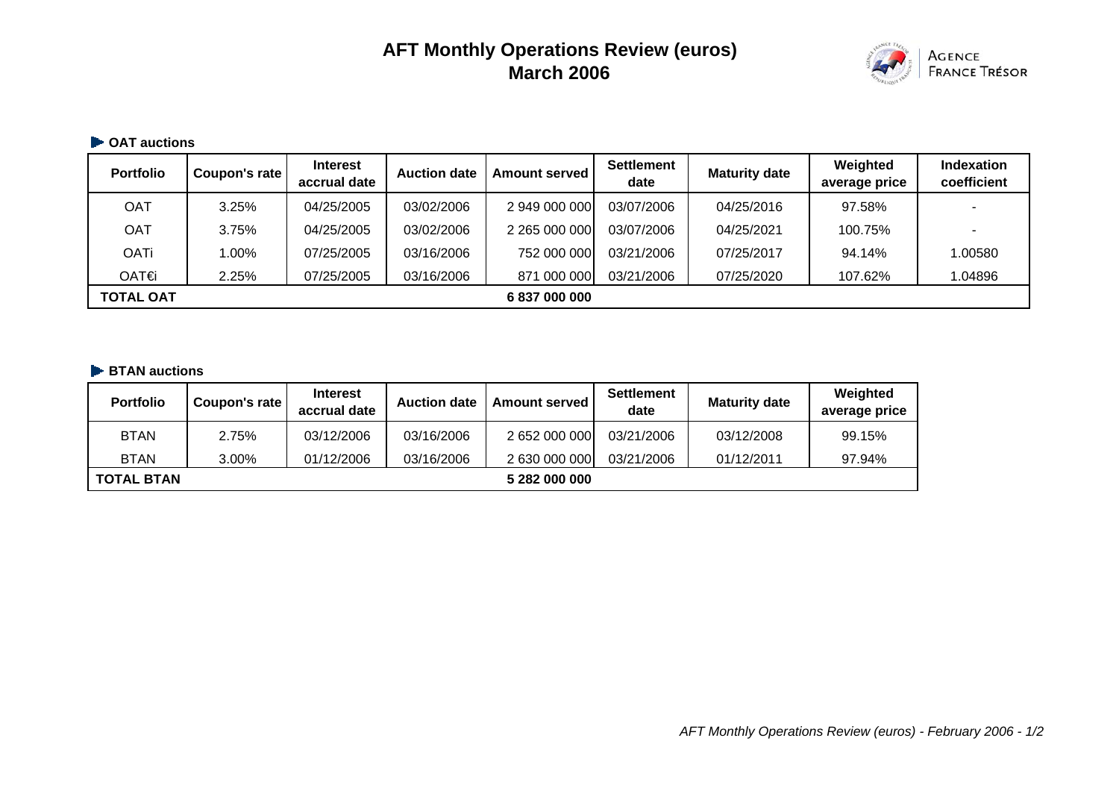# **AFT Monthly Operations Review (euros) March 2006**



#### **OAT auctions**

| <b>Portfolio</b> | Coupon's rate | <b>Interest</b><br>accrual date | <b>Auction date</b> | Amount served | <b>Settlement</b><br>date | <b>Maturity date</b> | Weighted<br>average price | <b>Indexation</b><br>coefficient |
|------------------|---------------|---------------------------------|---------------------|---------------|---------------------------|----------------------|---------------------------|----------------------------------|
| <b>OAT</b>       | 3.25%         | 04/25/2005                      | 03/02/2006          | 2 949 000 000 | 03/07/2006                | 04/25/2016           | 97.58%                    |                                  |
| <b>OAT</b>       | 3.75%         | 04/25/2005                      | 03/02/2006          | 2 265 000 000 | 03/07/2006                | 04/25/2021           | 100.75%                   |                                  |
| <b>OATi</b>      | 1.00%         | 07/25/2005                      | 03/16/2006          | 752 000 000   | 03/21/2006                | 07/25/2017           | 94.14%                    | 1.00580                          |
| OAT€i            | 2.25%         | 07/25/2005                      | 03/16/2006          | 871 000 000   | 03/21/2006                | 07/25/2020           | 107.62%                   | 1.04896                          |
| <b>TOTAL OAT</b> |               |                                 |                     | 6 837 000 000 |                           |                      |                           |                                  |

#### **BTAN auctions**

| <b>Portfolio</b>  | Coupon's rate | <b>Interest</b><br>accrual date | <b>Auction date</b> | <b>Amount served</b> | <b>Settlement</b><br>date | <b>Maturity date</b> | Weighted<br>average price |
|-------------------|---------------|---------------------------------|---------------------|----------------------|---------------------------|----------------------|---------------------------|
| <b>BTAN</b>       | 2.75%         | 03/12/2006                      | 03/16/2006          | 2 652 000 000        | 03/21/2006                | 03/12/2008           | 99.15%                    |
| <b>BTAN</b>       | 3.00%         | 01/12/2006                      | 03/16/2006          | 2 630 000 000        | 03/21/2006                | 01/12/2011           | 97.94%                    |
| <b>TOTAL BTAN</b> |               |                                 |                     | 5 282 000 000        |                           |                      |                           |